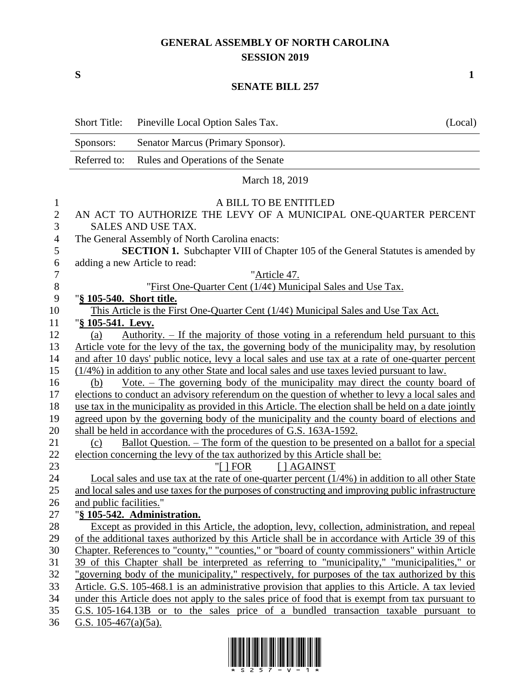## **GENERAL ASSEMBLY OF NORTH CAROLINA SESSION 2019**

**S 1**

## **SENATE BILL 257**

|              | <b>Short Title:</b>                                                                                                                                                                                       | Pineville Local Option Sales Tax.                                                                   | (Local) |
|--------------|-----------------------------------------------------------------------------------------------------------------------------------------------------------------------------------------------------------|-----------------------------------------------------------------------------------------------------|---------|
|              | Sponsors:                                                                                                                                                                                                 | Senator Marcus (Primary Sponsor).                                                                   |         |
|              | Referred to:                                                                                                                                                                                              | Rules and Operations of the Senate                                                                  |         |
|              |                                                                                                                                                                                                           | March 18, 2019                                                                                      |         |
| $\mathbf{1}$ |                                                                                                                                                                                                           | A BILL TO BE ENTITLED                                                                               |         |
| $\mathbf{2}$ | AN ACT TO AUTHORIZE THE LEVY OF A MUNICIPAL ONE-QUARTER PERCENT                                                                                                                                           |                                                                                                     |         |
| 3            | SALES AND USE TAX.                                                                                                                                                                                        |                                                                                                     |         |
| 4            | The General Assembly of North Carolina enacts:                                                                                                                                                            |                                                                                                     |         |
| 5            | SECTION 1. Subchapter VIII of Chapter 105 of the General Statutes is amended by                                                                                                                           |                                                                                                     |         |
| 6            | adding a new Article to read:                                                                                                                                                                             |                                                                                                     |         |
| $\tau$       |                                                                                                                                                                                                           | "Article 47.                                                                                        |         |
| $8\,$        |                                                                                                                                                                                                           | "First One-Quarter Cent (1/4¢) Municipal Sales and Use Tax.                                         |         |
| 9            | "§ 105-540. Short title.                                                                                                                                                                                  |                                                                                                     |         |
| 10           | This Article is the First One-Quarter Cent $(1/4\phi)$ Municipal Sales and Use Tax Act.                                                                                                                   |                                                                                                     |         |
| 11           | "§ 105-541. Levy.                                                                                                                                                                                         |                                                                                                     |         |
| 12           | <u>Authority. – If the majority of those voting in a referendum held pursuant to this</u><br>(a)                                                                                                          |                                                                                                     |         |
| 13           | Article vote for the levy of the tax, the governing body of the municipality may, by resolution                                                                                                           |                                                                                                     |         |
| 14           | and after 10 days' public notice, levy a local sales and use tax at a rate of one-quarter percent                                                                                                         |                                                                                                     |         |
| 15           | (1/4%) in addition to any other State and local sales and use taxes levied pursuant to law.<br><u>Vote. – The governing body of the municipality may direct the county board of</u>                       |                                                                                                     |         |
| 16           | (b)                                                                                                                                                                                                       |                                                                                                     |         |
| 17<br>18     | elections to conduct an advisory referendum on the question of whether to levy a local sales and<br>use tax in the municipality as provided in this Article. The election shall be held on a date jointly |                                                                                                     |         |
| 19           | agreed upon by the governing body of the municipality and the county board of elections and                                                                                                               |                                                                                                     |         |
| 20           | shall be held in accordance with the procedures of G.S. 163A-1592.                                                                                                                                        |                                                                                                     |         |
| 21           | (c)                                                                                                                                                                                                       | <u>Ballot Question. – The form of the question to be presented on a ballot for a special</u>        |         |
| 22           |                                                                                                                                                                                                           | election concerning the levy of the tax authorized by this Article shall be:                        |         |
| 23           |                                                                                                                                                                                                           | "[ $ $ FOR<br>[ ] AGAINST                                                                           |         |
| 24           |                                                                                                                                                                                                           | Local sales and use tax at the rate of one-quarter percent $(1/4\%)$ in addition to all other State |         |
| 25           |                                                                                                                                                                                                           | and local sales and use taxes for the purposes of constructing and improving public infrastructure  |         |
| 26           | and public facilities."                                                                                                                                                                                   |                                                                                                     |         |
| 27           |                                                                                                                                                                                                           | "§ 105-542. Administration.                                                                         |         |
| 28           |                                                                                                                                                                                                           | Except as provided in this Article, the adoption, levy, collection, administration, and repeal      |         |
| 29           |                                                                                                                                                                                                           | of the additional taxes authorized by this Article shall be in accordance with Article 39 of this   |         |
| 30           |                                                                                                                                                                                                           | Chapter. References to "county," "counties," or "board of county commissioners" within Article      |         |
| 31           |                                                                                                                                                                                                           | 39 of this Chapter shall be interpreted as referring to "municipality," "municipalities," or        |         |
| 32           |                                                                                                                                                                                                           | "governing body of the municipality," respectively, for purposes of the tax authorized by this      |         |
| 33           |                                                                                                                                                                                                           | Article. G.S. 105-468.1 is an administrative provision that applies to this Article. A tax levied   |         |
| 34           |                                                                                                                                                                                                           | under this Article does not apply to the sales price of food that is exempt from tax pursuant to    |         |
| 35           |                                                                                                                                                                                                           | G.S. 105-164.13B or to the sales price of a bundled transaction taxable pursuant to                 |         |
| 36           | G.S. $105-467(a)(5a)$ .                                                                                                                                                                                   |                                                                                                     |         |